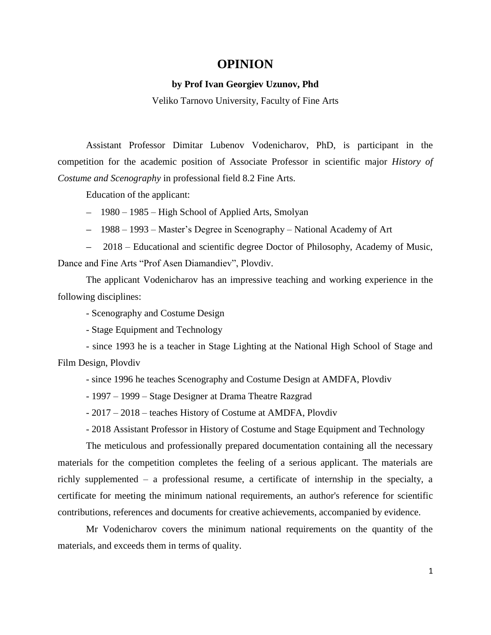## **OPINION**

## **by Prof Ivan Georgiev Uzunov, Phd**

Veliko Tarnovo University, Faculty of Fine Arts

Assistant Professor Dimitar Lubenov Vodenicharov, PhD, is participant in the competition for the academic position of Associate Professor in scientific major *History of Costume and Scenography* in professional field 8.2 Fine Arts.

Education of the applicant:

- 1980 1985 High School of Applied Arts, Smolyan
- 1988 1993 Master's Degree in Scenography National Academy of Art

2018 – Educational and scientific degree Doctor of Philosophy, Academy of Music, Dance and Fine Arts "Prof Asen Diamandiev", Plovdiv.

The applicant Vodenicharov has an impressive teaching and working experience in the following disciplines:

- Scenography and Costume Design

- Stage Equipment and Technology

- since 1993 he is a teacher in Stage Lighting at the National High School of Stage and Film Design, Plovdiv

- since 1996 he teaches Scenography and Costume Design at AMDFA, Plovdiv

- 1997 – 1999 – Stage Designer at Drama Theatre Razgrad

- 2017 – 2018 – teaches History of Costume at AMDFA, Plovdiv

- 2018 Assistant Professor in History of Costume and Stage Equipment and Technology

The meticulous and professionally prepared documentation containing all the necessary materials for the competition completes the feeling of a serious applicant. The materials are richly supplemented – a professional resume, a certificate of internship in the specialty, a certificate for meeting the minimum national requirements, an author's reference for scientific contributions, references and documents for creative achievements, accompanied by evidence.

Mr Vodenicharov covers the minimum national requirements on the quantity of the materials, and exceeds them in terms of quality.